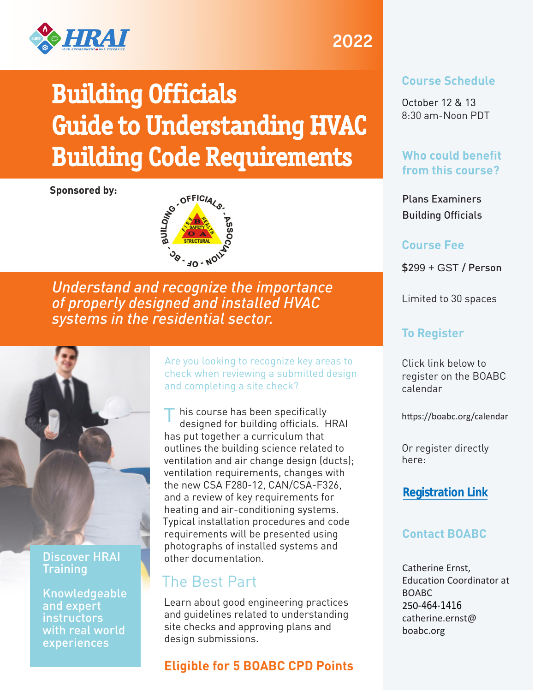

# Building Officials Guide to Understanding HVAC Building Code Requirements

#### **Sponsored by:**



*Understand and recognize the importance of properly designed and installed HVAC systems in the residential sector.*



#### Discover HRAI **Training**

Knowledgeable and expert instructors with real world experiences

Are you looking to recognize key areas to check when reviewing a submitted design and completing a site check?

his course has been specifically designed for building officials. HRAI has put together a curriculum that outlines the building science related to ventilation and air change design (ducts); ventilation requirements, changes with the new CSA F280-12, CAN/CSA-F326, and a review of key requirements for heating and air-conditioning systems. Typical installation procedures and code requirements will be presented using photographs of installed systems and other documentation. T

# The Best Part

Learn about good engineering practices and guidelines related to understanding site checks and approving plans and design submissions.

# **Eligible for 5 BOABC CPD Points**

# 2022

### **Course Schedule**

October 12 & 13 8:30 am-Noon PDT

# **Who could benefit from this course?**

Plans Examiners Building Officials

### **Course Fee**

\$299 + GST / Person

Limited to 30 spaces

# **To Register**

Click link below to register on the BOABC calendar

<https://boabc.org/calendar>

Or register directly here:

# **[Registration Link](https://boabcaccess.org/login.php?page=session)**

# **Contact BOABC**

Catherine Ernst, Education Coordinator at BOABC 250-464-1416 [catherine.ernst@](mailto:catherine.ernst@boabc.org) boabc.org